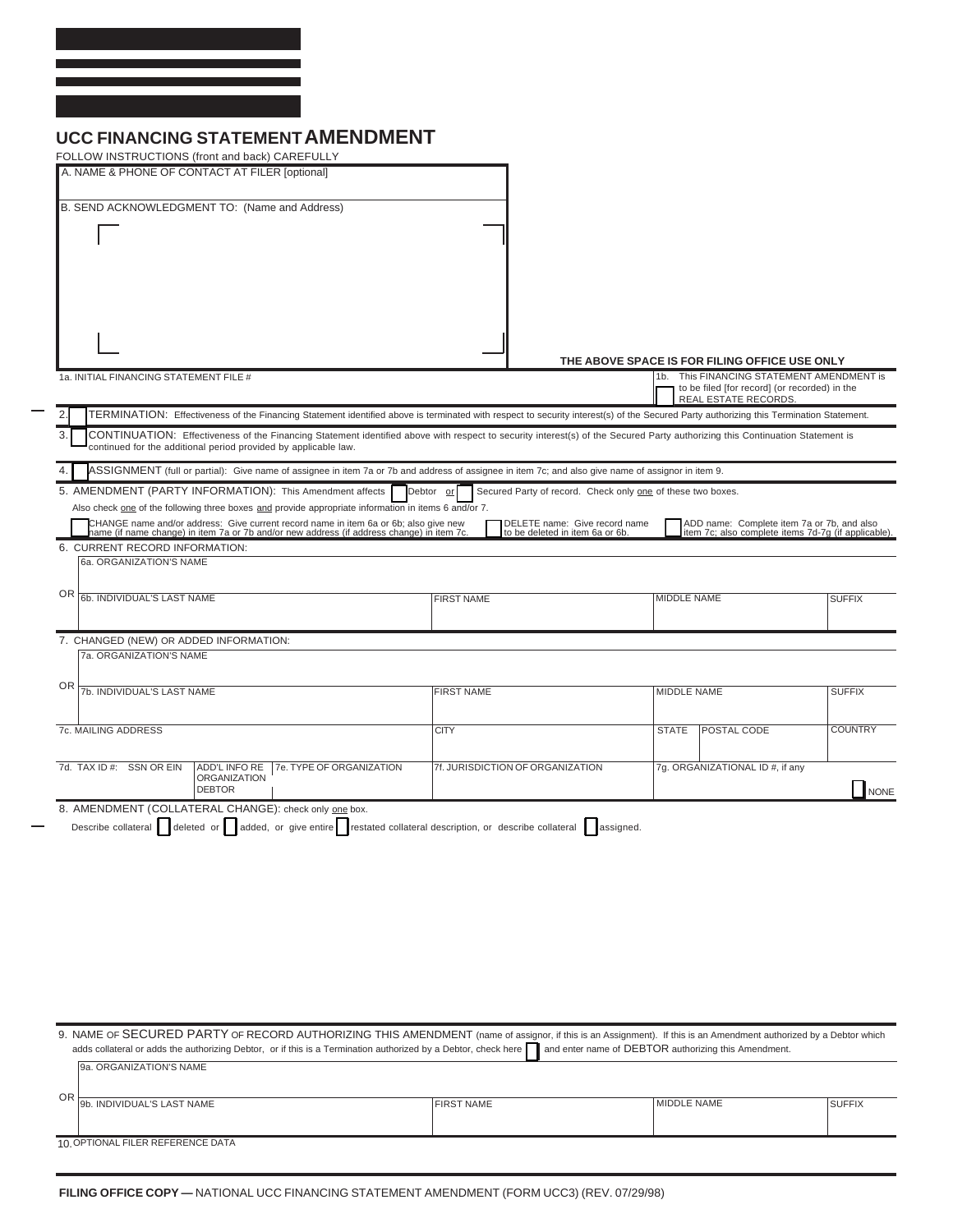## **UCC FINANCING STATEMENT AMENDMENT**

| FOLLOW INSTRUCTIONS (front and back) CAREFULLY                                                                                                                                                                                                  |                                                                          |                                                                                            |                                                                                                   |
|-------------------------------------------------------------------------------------------------------------------------------------------------------------------------------------------------------------------------------------------------|--------------------------------------------------------------------------|--------------------------------------------------------------------------------------------|---------------------------------------------------------------------------------------------------|
| A. NAME & PHONE OF CONTACT AT FILER [optional]                                                                                                                                                                                                  |                                                                          |                                                                                            |                                                                                                   |
| B. SEND ACKNOWLEDGMENT TO: (Name and Address)                                                                                                                                                                                                   |                                                                          |                                                                                            |                                                                                                   |
|                                                                                                                                                                                                                                                 |                                                                          |                                                                                            |                                                                                                   |
|                                                                                                                                                                                                                                                 |                                                                          |                                                                                            |                                                                                                   |
|                                                                                                                                                                                                                                                 |                                                                          |                                                                                            |                                                                                                   |
|                                                                                                                                                                                                                                                 |                                                                          |                                                                                            |                                                                                                   |
|                                                                                                                                                                                                                                                 |                                                                          |                                                                                            |                                                                                                   |
|                                                                                                                                                                                                                                                 |                                                                          |                                                                                            |                                                                                                   |
|                                                                                                                                                                                                                                                 |                                                                          | THE ABOVE SPACE IS FOR FILING OFFICE USE ONLY                                              |                                                                                                   |
| 1a. INITIAL FINANCING STATEMENT FILE #                                                                                                                                                                                                          |                                                                          | 1b. This FINANCING STATEMENT AMENDMENT is<br>to be filed [for record] (or recorded) in the |                                                                                                   |
|                                                                                                                                                                                                                                                 |                                                                          | REAL ESTATE RECORDS.                                                                       |                                                                                                   |
| TERMINATION: Effectiveness of the Financing Statement identified above is terminated with respect to security interest(s) of the Secured Party authorizing this Termination Statement.<br>2.<br>3.                                              |                                                                          |                                                                                            |                                                                                                   |
| CONTINUATION: Effectiveness of the Financing Statement identified above with respect to security interest(s) of the Secured Party authorizing this Continuation Statement is<br>continued for the additional period provided by applicable law. |                                                                          |                                                                                            |                                                                                                   |
| 4.<br>ASSIGNMENT (full or partial): Give name of assignee in item 7a or 7b and address of assignee in item 7c; and also give name of assignor in item 9.                                                                                        |                                                                          |                                                                                            |                                                                                                   |
| 5. AMENDMENT (PARTY INFORMATION): This Amendment affects                                                                                                                                                                                        | Secured Party of record. Check only one of these two boxes.<br>Debtor or |                                                                                            |                                                                                                   |
| Also check one of the following three boxes and provide appropriate information in items 6 and/or 7.                                                                                                                                            | DELETE name: Give record name                                            |                                                                                            |                                                                                                   |
| CHANGE name and/or address: Give current record name in item 6a or 6b; also give new<br>name (if name change) in item 7a or 7b and/or new address (if address change) in item 7c.                                                               | to be deleted in item 6a or 6b.                                          |                                                                                            | ADD name: Complete item 7a or 7b, and also<br>item 7c; also complete items 7d-7g (if applicable). |
| 6. CURRENT RECORD INFORMATION:<br>6a. ORGANIZATION'S NAME                                                                                                                                                                                       |                                                                          |                                                                                            |                                                                                                   |
|                                                                                                                                                                                                                                                 |                                                                          |                                                                                            |                                                                                                   |
| OR<br>6b. INDIVIDUAL'S LAST NAME                                                                                                                                                                                                                | <b>FIRST NAME</b>                                                        | MIDDLE NAME                                                                                | <b>SUFFIX</b>                                                                                     |
|                                                                                                                                                                                                                                                 |                                                                          |                                                                                            |                                                                                                   |
| 7. CHANGED (NEW) OR ADDED INFORMATION:<br>7a. ORGANIZATION'S NAME                                                                                                                                                                               |                                                                          |                                                                                            |                                                                                                   |
|                                                                                                                                                                                                                                                 |                                                                          |                                                                                            |                                                                                                   |
| ΟR<br>7b. INDIVIDUAL'S LAST NAME                                                                                                                                                                                                                | <b>FIRST NAME</b>                                                        | MIDDLE NAME                                                                                | <b>SUFFIX</b>                                                                                     |
|                                                                                                                                                                                                                                                 |                                                                          |                                                                                            |                                                                                                   |
| 7c. MAILING ADDRESS                                                                                                                                                                                                                             | <b>CITY</b>                                                              | <b>STATE</b><br>POSTAL CODE                                                                | <b>COUNTRY</b>                                                                                    |
|                                                                                                                                                                                                                                                 |                                                                          |                                                                                            |                                                                                                   |
| 7d. TAX ID #: SSN OR EIN<br>ADD'L INFO RE<br>7e. TYPE OF ORGANIZATION<br><b>ORGANIZATION</b>                                                                                                                                                    | 7f. JURISDICTION OF ORGANIZATION                                         | 7g. ORGANIZATIONAL ID #, if any                                                            |                                                                                                   |
| <b>DEBTOR</b>                                                                                                                                                                                                                                   |                                                                          |                                                                                            | NONE                                                                                              |
| 8. AMENDMENT (COLLATERAL CHANGE): check only one box.<br>Describe collateral deleted or dadded, or give entire restated collateral description, or describe collateral assigned.                                                                |                                                                          |                                                                                            |                                                                                                   |
|                                                                                                                                                                                                                                                 |                                                                          |                                                                                            |                                                                                                   |
|                                                                                                                                                                                                                                                 |                                                                          |                                                                                            |                                                                                                   |
|                                                                                                                                                                                                                                                 |                                                                          |                                                                                            |                                                                                                   |
|                                                                                                                                                                                                                                                 |                                                                          |                                                                                            |                                                                                                   |
|                                                                                                                                                                                                                                                 |                                                                          |                                                                                            |                                                                                                   |
|                                                                                                                                                                                                                                                 |                                                                          |                                                                                            |                                                                                                   |
|                                                                                                                                                                                                                                                 |                                                                          |                                                                                            |                                                                                                   |
|                                                                                                                                                                                                                                                 |                                                                          |                                                                                            |                                                                                                   |
|                                                                                                                                                                                                                                                 |                                                                          |                                                                                            |                                                                                                   |
| 9. NAME OF SECURED PARTY OF RECORD AUTHORIZING THIS AMENDMENT (name of assignor, if this is an Assignment). If this is an Amendment authorized by a Debtor which                                                                                |                                                                          |                                                                                            |                                                                                                   |
| adds collateral or adds the authorizing Debtor, or if this is a Termination authorized by a Debtor, check here<br>9a. ORGANIZATION'S NAME                                                                                                       |                                                                          | and enter name of DEBTOR authorizing this Amendment.                                       |                                                                                                   |
|                                                                                                                                                                                                                                                 |                                                                          |                                                                                            |                                                                                                   |

| OR                                |                              |                   |             |               |  |  |  |
|-----------------------------------|------------------------------|-------------------|-------------|---------------|--|--|--|
|                                   | `I9b. INDIVIDUAL'S LAST NAME | <b>FIRST NAME</b> | MIDDLE NAME | <b>SUFFIX</b> |  |  |  |
|                                   |                              |                   |             |               |  |  |  |
|                                   |                              |                   |             |               |  |  |  |
|                                   |                              |                   |             |               |  |  |  |
| 10. OPTIONAL FILER REFERENCE DATA |                              |                   |             |               |  |  |  |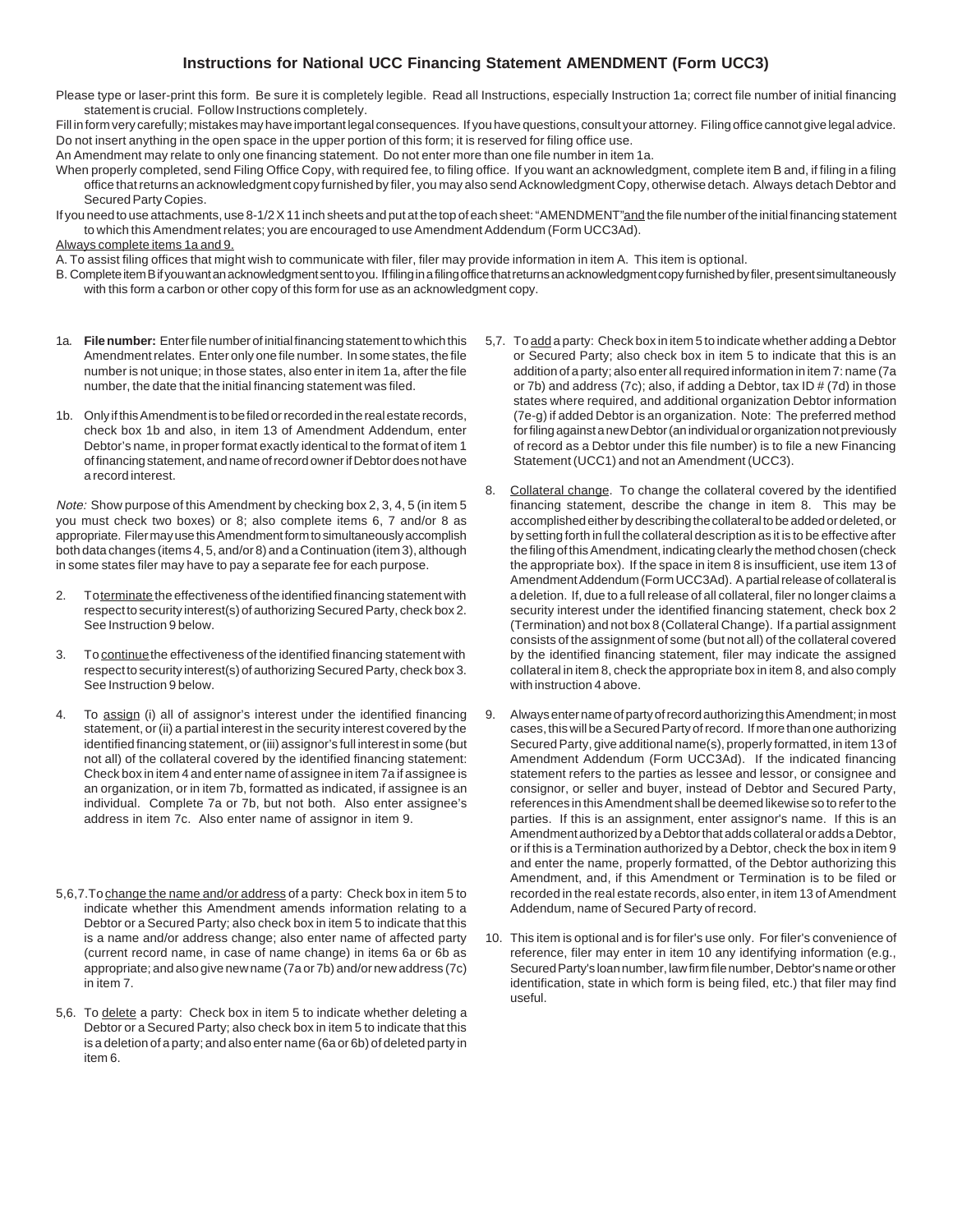## **Instructions for National UCC Financing Statement AMENDMENT (Form UCC3)**

- Please type or laser-print this form. Be sure it is completely legible. Read all Instructions, especially Instruction 1a; correct file number of initial financing statement is crucial. Follow Instructions completely.
- Fill in form very carefully; mistakes may have important legal consequences. If you have questions, consult your attorney. Filing office cannot give legal advice. Do not insert anything in the open space in the upper portion of this form; it is reserved for filing office use.
- An Amendment may relate to only one financing statement. Do not enter more than one file number in item 1a.
- When properly completed, send Filing Office Copy, with required fee, to filing office. If you want an acknowledgment, complete item B and, if filing in a filing office that returns an acknowledgment copy furnished by filer, you may also send Acknowledgment Copy, otherwise detach. Always detach Debtor and Secured Party Copies.
- If you need to use attachments, use 8-1/2 X 11 inch sheets and put at the top of each sheet: "AMENDMENT" and the file number of the initial financing statement to which this Amendment relates; you are encouraged to use Amendment Addendum (Form UCC3Ad).

Always complete items 1a and 9.

A. To assist filing offices that might wish to communicate with filer, filer may provide information in item A. This item is optional.

- B. Complete item B if you want an acknowledgment sent to you. If filing in a filing office that returns an acknowledgment copy furnished by filer, present simultaneously with this form a carbon or other copy of this form for use as an acknowledgment copy.
- 1a. **File number:** Enter file number of initial financing statement to which this Amendment relates. Enter only one file number. In some states, the file number is not unique; in those states, also enter in item 1a, after the file number, the date that the initial financing statement was filed.
- 1b. Only if this Amendment is to be filed or recorded in the real estate records, check box 1b and also, in item 13 of Amendment Addendum, enter Debtor's name, in proper format exactly identical to the format of item 1 of financing statement, and name of record owner if Debtor does not have a record interest.

Note: Show purpose of this Amendment by checking box 2, 3, 4, 5 (in item 5 you must check two boxes) or 8; also complete items 6, 7 and/or 8 as appropriate. Filer may use this Amendment form to simultaneously accomplish both data changes (items 4, 5, and/or 8) and a Continuation (item 3), although in some states filer may have to pay a separate fee for each purpose.

- 2. To terminate the effectiveness of the identified financing statement with respect to security interest(s) of authorizing Secured Party, check box 2. See Instruction 9 below.
- 3. To continue the effectiveness of the identified financing statement with respect to security interest(s) of authorizing Secured Party, check box 3. See Instruction 9 below.
- 4. To assign (i) all of assignor's interest under the identified financing statement, or (ii) a partial interest in the security interest covered by the identified financing statement, or (iii) assignor's full interest in some (but not all) of the collateral covered by the identified financing statement: Check box in item 4 and enter name of assignee in item 7a if assignee is an organization, or in item 7b, formatted as indicated, if assignee is an individual. Complete 7a or 7b, but not both. Also enter assignee's address in item 7c. Also enter name of assignor in item 9.
- 5,6,7.To change the name and/or address of a party: Check box in item 5 to indicate whether this Amendment amends information relating to a Debtor or a Secured Party; also check box in item 5 to indicate that this is a name and/or address change; also enter name of affected party (current record name, in case of name change) in items 6a or 6b as appropriate; and also give new name (7a or 7b) and/or new address (7c) in item 7.
- 5,6. To delete a party: Check box in item 5 to indicate whether deleting a Debtor or a Secured Party; also check box in item 5 to indicate that this is a deletion of a party; and also enter name (6a or 6b) of deleted party in item 6.
- 5,7. To add a party: Check box in item 5 to indicate whether adding a Debtor or Secured Party; also check box in item 5 to indicate that this is an addition of a party; also enter all required information in item 7: name (7a or 7b) and address (7c); also, if adding a Debtor, tax ID # (7d) in those states where required, and additional organization Debtor information (7e-g) if added Debtor is an organization. Note: The preferred method for filing against a new Debtor (an individual or organization not previously of record as a Debtor under this file number) is to file a new Financing Statement (UCC1) and not an Amendment (UCC3).
- 8. Collateral change. To change the collateral covered by the identified financing statement, describe the change in item 8. This may be accomplished either by describing the collateral to be added or deleted, or by setting forth in full the collateral description as it is to be effective after the filing of this Amendment, indicating clearly the method chosen (check the appropriate box). If the space in item 8 is insufficient, use item 13 of Amendment Addendum (Form UCC3Ad). A partial release of collateral is a deletion. If, due to a full release of all collateral, filer no longer claims a security interest under the identified financing statement, check box 2 (Termination) and not box 8 (Collateral Change). If a partial assignment consists of the assignment of some (but not all) of the collateral covered by the identified financing statement, filer may indicate the assigned collateral in item 8, check the appropriate box in item 8, and also comply with instruction 4 above.
- 9. Always enter name of party of record authorizing this Amendment; in most cases, this will be a Secured Party of record. If more than one authorizing Secured Party, give additional name(s), properly formatted, in item 13 of Amendment Addendum (Form UCC3Ad). If the indicated financing statement refers to the parties as lessee and lessor, or consignee and consignor, or seller and buyer, instead of Debtor and Secured Party, references in this Amendment shall be deemed likewise so to refer to the parties. If this is an assignment, enter assignor's name. If this is an Amendment authorized by a Debtor that adds collateral or adds a Debtor, or if this is a Termination authorized by a Debtor, check the box in item 9 and enter the name, properly formatted, of the Debtor authorizing this Amendment, and, if this Amendment or Termination is to be filed or recorded in the real estate records, also enter, in item 13 of Amendment Addendum, name of Secured Party of record.
- 10. This item is optional and is for filer's use only. For filer's convenience of reference, filer may enter in item 10 any identifying information (e.g., Secured Party's loan number, law firm file number, Debtor's name or other identification, state in which form is being filed, etc.) that filer may find useful.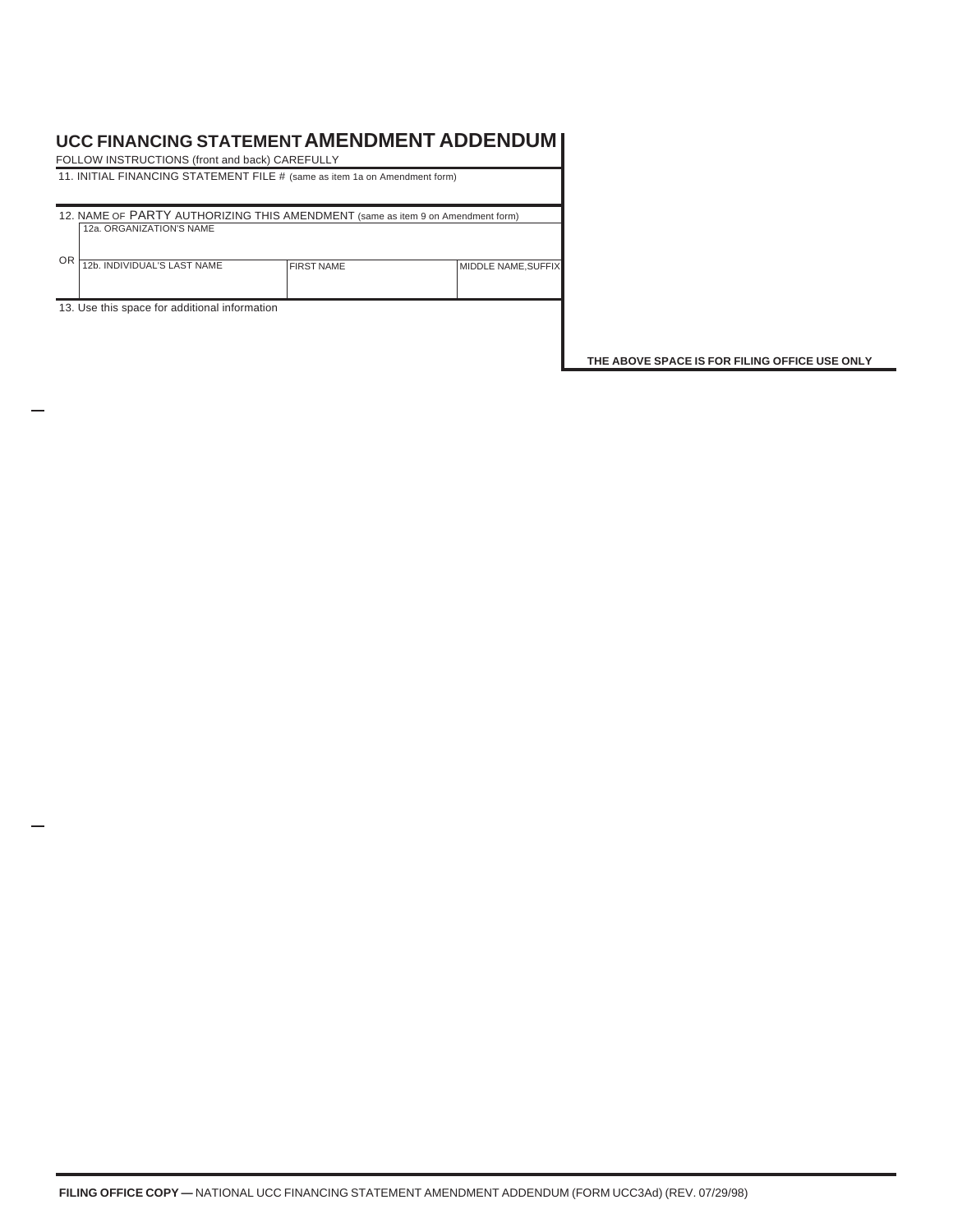## **UCC FINANCING STATEMENT AMENDMENT ADDENDUM**

|                                                                                 | FOLLOW INSTRUCTIONS (front and back) CAREFULLY |                   |                           |  |  |  |
|---------------------------------------------------------------------------------|------------------------------------------------|-------------------|---------------------------|--|--|--|
| 11. INITIAL FINANCING STATEMENT FILE # (same as item 1a on Amendment form)      |                                                |                   |                           |  |  |  |
|                                                                                 |                                                |                   |                           |  |  |  |
| 12. NAME OF PARTY AUTHORIZING THIS AMENDMENT (same as item 9 on Amendment form) |                                                |                   |                           |  |  |  |
|                                                                                 | 12a. ORGANIZATION'S NAME                       |                   |                           |  |  |  |
|                                                                                 |                                                |                   |                           |  |  |  |
| <b>OR</b>                                                                       | 12b. INDIVIDUAL'S LAST NAME                    | <b>FIRST NAME</b> | <b>MIDDLE NAME.SUFFIX</b> |  |  |  |
|                                                                                 |                                                |                   |                           |  |  |  |
|                                                                                 |                                                |                   |                           |  |  |  |
| 13. Use this space for additional information                                   |                                                |                   |                           |  |  |  |
|                                                                                 |                                                |                   |                           |  |  |  |

**THE ABOVE SPACE IS FOR FILING OFFICE USE ONLY**